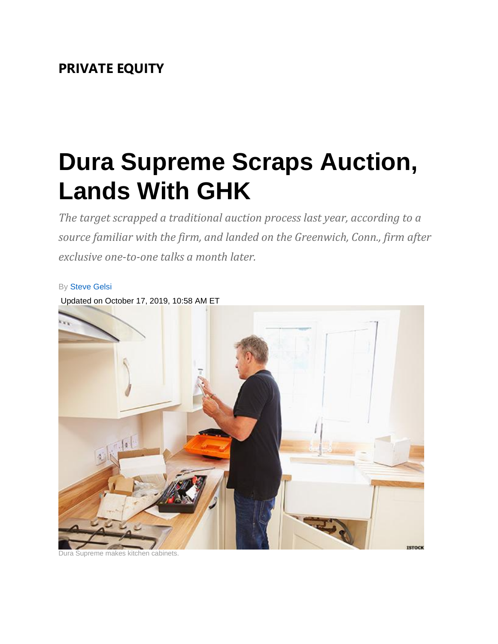## **PRIVATE EQUITY**

## **Dura Supreme Scraps Auction, Lands With GHK**

*The target scrapped a traditional auction process last year, according to a source familiar with the firm, and landed on the Greenwich, Conn., firm after exclusive one-to-one talks a month later.*



upreme makes kitchen cabinets.